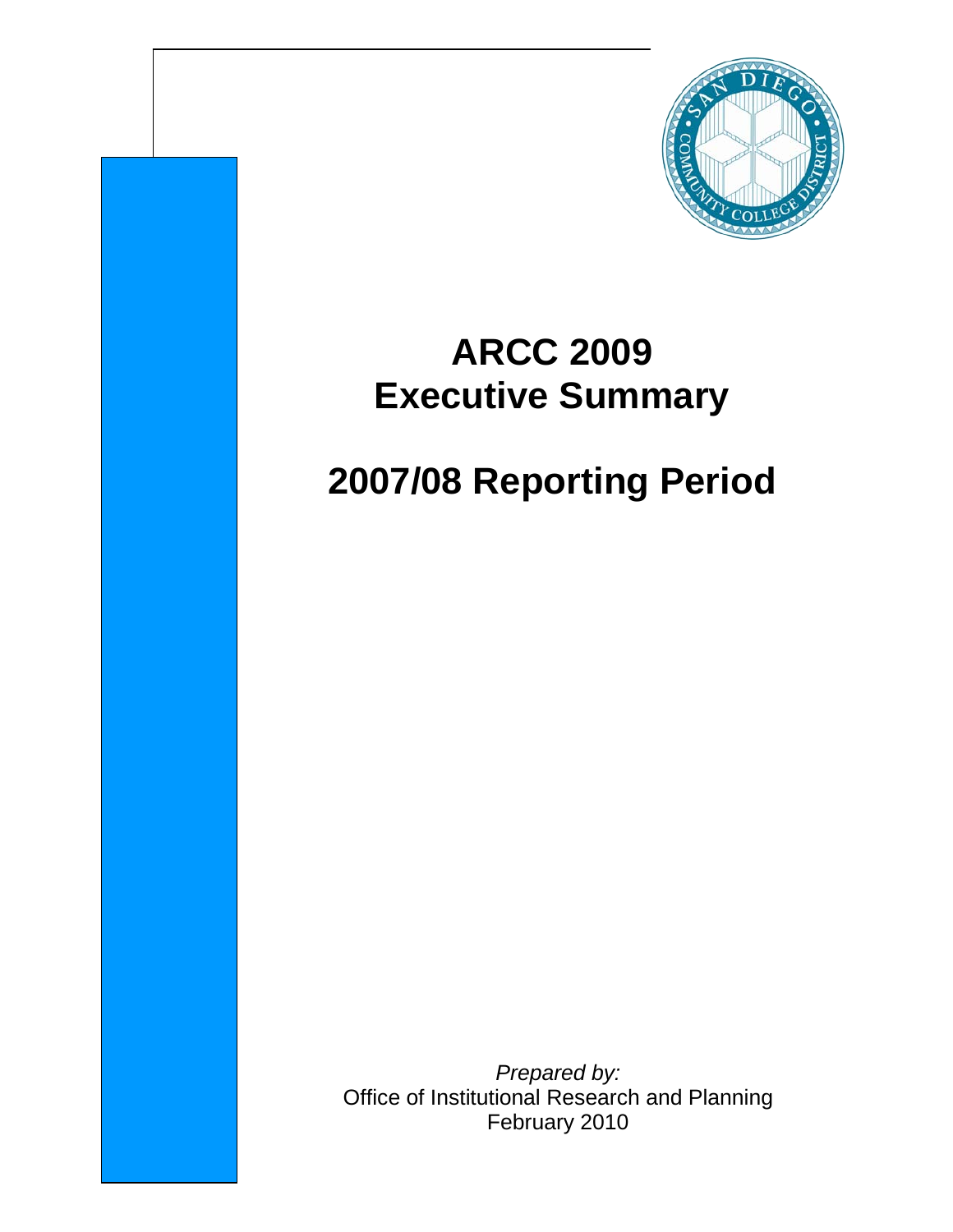

# **ARCC 2009 Executive Summary**

# **2007/08 Reporting Period**

*Prepared by:* Office of Institutional Research and Planning February 2010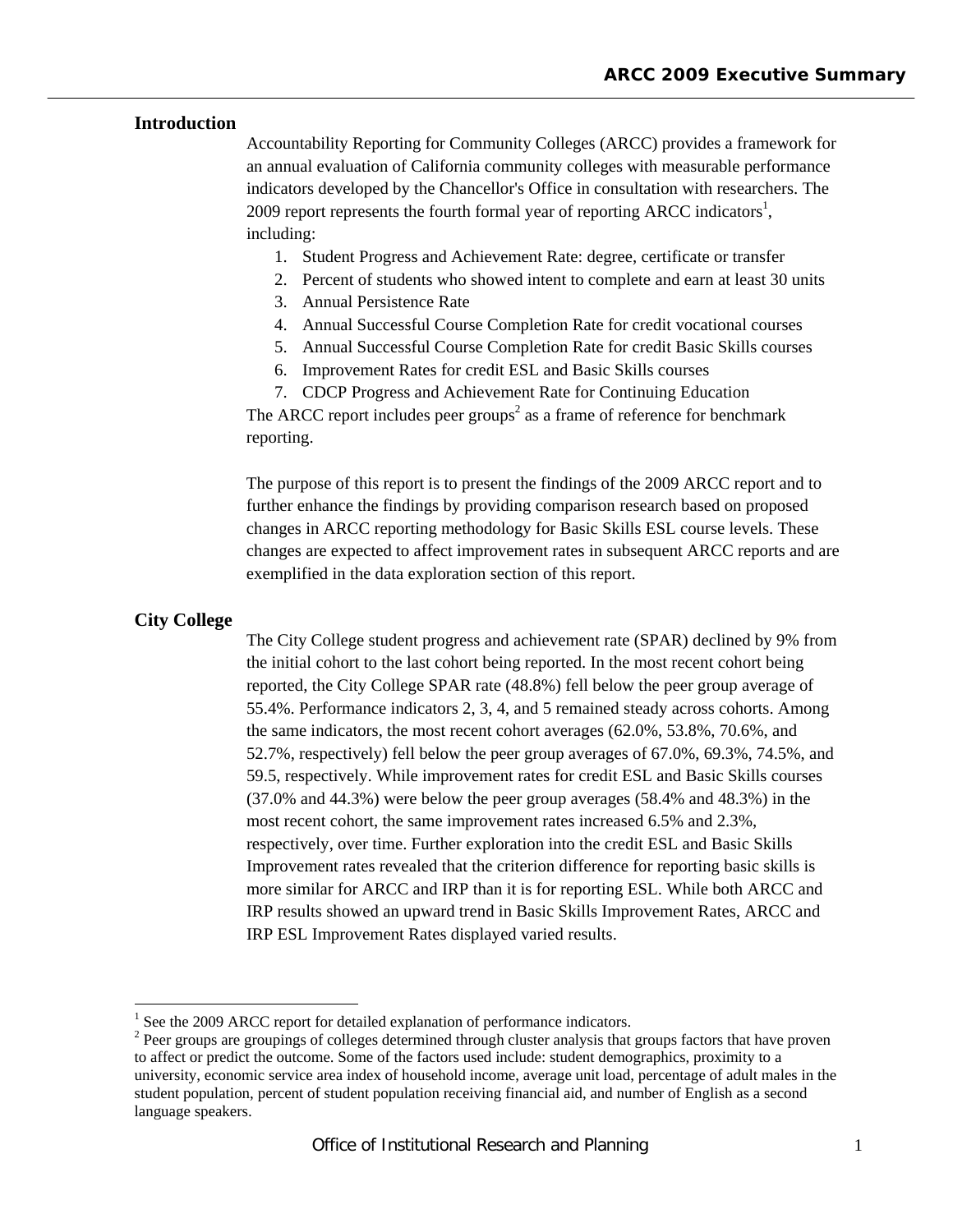### **Introduction**

Accountability Reporting for Community Colleges (ARCC) provides a framework for an annual evaluation of California community colleges with measurable performance indicators developed by the Chancellor's Office in consultation with researchers. The 2009 report represents the fourth formal year of reporting ARCC indicators<sup>1</sup>, including:

- 1. Student Progress and Achievement Rate: degree, certificate or transfer
- 2. Percent of students who showed intent to complete and earn at least 30 units
- 3. Annual Persistence Rate
- 4. Annual Successful Course Completion Rate for credit vocational courses
- 5. Annual Successful Course Completion Rate for credit Basic Skills courses
- 6. Improvement Rates for credit ESL and Basic Skills courses
- 7. CDCP Progress and Achievement Rate for Continuing Education

The ARCC report includes peer groups<sup>2</sup> as a frame of reference for benchmark reporting.

The purpose of this report is to present the findings of the 2009 ARCC report and to further enhance the findings by providing comparison research based on proposed changes in ARCC reporting methodology for Basic Skills ESL course levels. These changes are expected to affect improvement rates in subsequent ARCC reports and are exemplified in the data exploration section of this report.

#### **City College**

 $\overline{a}$ 

The City College student progress and achievement rate (SPAR) declined by 9% from the initial cohort to the last cohort being reported. In the most recent cohort being reported, the City College SPAR rate (48.8%) fell below the peer group average of 55.4%. Performance indicators 2, 3, 4, and 5 remained steady across cohorts. Among the same indicators, the most recent cohort averages (62.0%, 53.8%, 70.6%, and 52.7%, respectively) fell below the peer group averages of 67.0%, 69.3%, 74.5%, and 59.5, respectively. While improvement rates for credit ESL and Basic Skills courses (37.0% and 44.3%) were below the peer group averages (58.4% and 48.3%) in the most recent cohort, the same improvement rates increased 6.5% and 2.3%, respectively, over time. Further exploration into the credit ESL and Basic Skills Improvement rates revealed that the criterion difference for reporting basic skills is more similar for ARCC and IRP than it is for reporting ESL. While both ARCC and IRP results showed an upward trend in Basic Skills Improvement Rates, ARCC and IRP ESL Improvement Rates displayed varied results.

<sup>&</sup>lt;sup>1</sup> See the 2009 ARCC report for detailed explanation of performance indicators.

<sup>&</sup>lt;sup>2</sup> Peer groups are groupings of colleges determined through cluster analysis that groups factors that have proven to affect or predict the outcome. Some of the factors used include: student demographics, proximity to a university, economic service area index of household income, average unit load, percentage of adult males in the student population, percent of student population receiving financial aid, and number of English as a second language speakers.